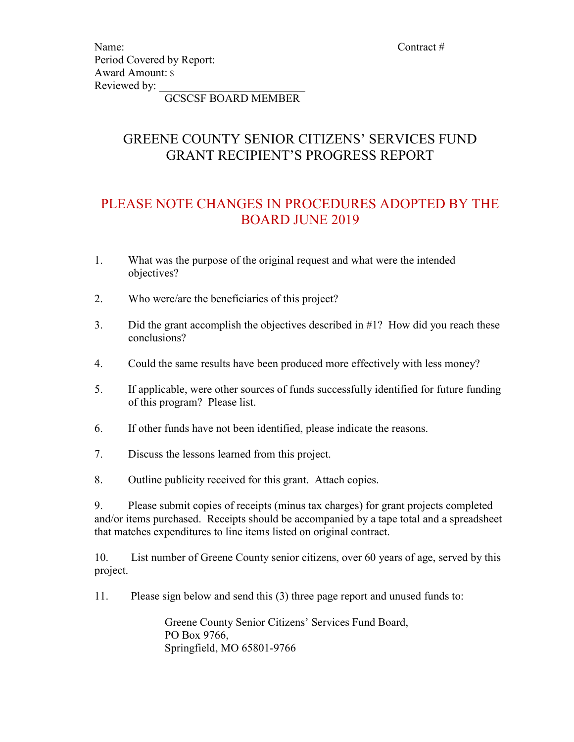Name: Contract # Contract # Contract # Contract # Contract # Contract # Contract # Contract # Contract # Contract # Contract # Contract # Contract # Contract # Contract # Contract # Contract # Contract # Contract # Contrac Period Covered by Report: Award Amount: \$ Reviewed by:

GCSCSF BOARD MEMBER

# GREENE COUNTY SENIOR CITIZENS' SERVICES FUND GRANT RECIPIENT'S PROGRESS REPORT

# PLEASE NOTE CHANGES IN PROCEDURES ADOPTED BY THE BOARD JUNE 2019

- 1. What was the purpose of the original request and what were the intended objectives?
- 2. Who were/are the beneficiaries of this project?
- 3. Did the grant accomplish the objectives described in #1? How did you reach these conclusions?
- 4. Could the same results have been produced more effectively with less money?
- 5. If applicable, were other sources of funds successfully identified for future funding of this program? Please list.
- 6. If other funds have not been identified, please indicate the reasons.
- 7. Discuss the lessons learned from this project.
- 8. Outline publicity received for this grant. Attach copies.

9. Please submit copies of receipts (minus tax charges) for grant projects completed and/or items purchased. Receipts should be accompanied by a tape total and a spreadsheet that matches expenditures to line items listed on original contract.

10. List number of Greene County senior citizens, over 60 years of age, served by this project.

11. Please sign below and send this (3) three page report and unused funds to:

 Greene County Senior Citizens' Services Fund Board, PO Box 9766, Springfield, MO 65801-9766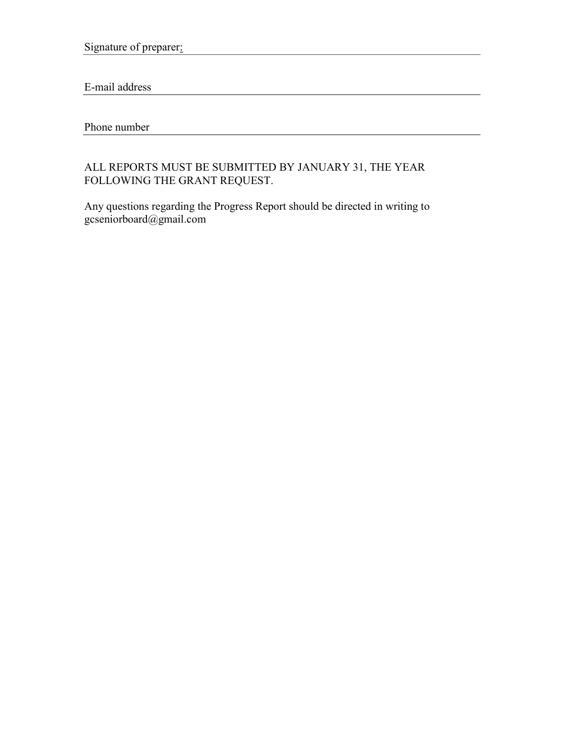Signature of preparer:

E-mail address

Phone number

### ALL REPORTS MUST BE SUBMITTED BY JANUARY 31, THE YEAR FOLLOWING THE GRANT REQUEST.

Any questions regarding the Progress Report should be directed in writing to gcseniorboard@gmail.com